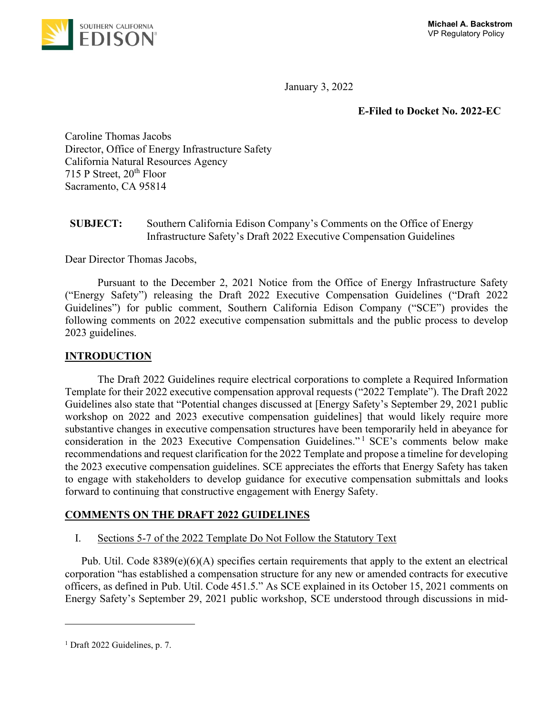

January 3, 2022

## **E-Filed to Docket No. 2022-EC**

Caroline Thomas Jacobs Director, Office of Energy Infrastructure Safety California Natural Resources Agency 715 P Street,  $20<sup>th</sup>$  Floor Sacramento, CA 95814

# **SUBJECT:** Southern California Edison Company's Comments on the Office of Energy Infrastructure Safety's Draft 2022 Executive Compensation Guidelines

Dear Director Thomas Jacobs,

Pursuant to the December 2, 2021 Notice from the Office of Energy Infrastructure Safety ("Energy Safety") releasing the Draft 2022 Executive Compensation Guidelines ("Draft 2022 Guidelines") for public comment, Southern California Edison Company ("SCE") provides the following comments on 2022 executive compensation submittals and the public process to develop 2023 guidelines.

## **INTRODUCTION**

The Draft 2022 Guidelines require electrical corporations to complete a Required Information Template for their 2022 executive compensation approval requests ("2022 Template"). The Draft 2022 Guidelines also state that "Potential changes discussed at [Energy Safety's September 29, 2021 public workshop on 2022 and 2023 executive compensation guidelines] that would likely require more substantive changes in executive compensation structures have been temporarily held in abeyance for consideration in the 2023 Executive Compensation Guidelines." <sup>1</sup> SCE's comments below make recommendations and request clarification for the 2022 Template and propose a timeline for developing the 2023 executive compensation guidelines. SCE appreciates the efforts that Energy Safety has taken to engage with stakeholders to develop guidance for executive compensation submittals and looks forward to continuing that constructive engagement with Energy Safety.

## **COMMENTS ON THE DRAFT 2022 GUIDELINES**

I. Sections 5-7 of the 2022 Template Do Not Follow the Statutory Text

Pub. Util. Code 8389(e)(6)(A) specifies certain requirements that apply to the extent an electrical corporation "has established a compensation structure for any new or amended contracts for executive officers, as defined in Pub. Util. Code 451.5." As SCE explained in its October 15, 2021 comments on Energy Safety's September 29, 2021 public workshop, SCE understood through discussions in mid-

<sup>&</sup>lt;sup>1</sup> Draft 2022 Guidelines, p. 7.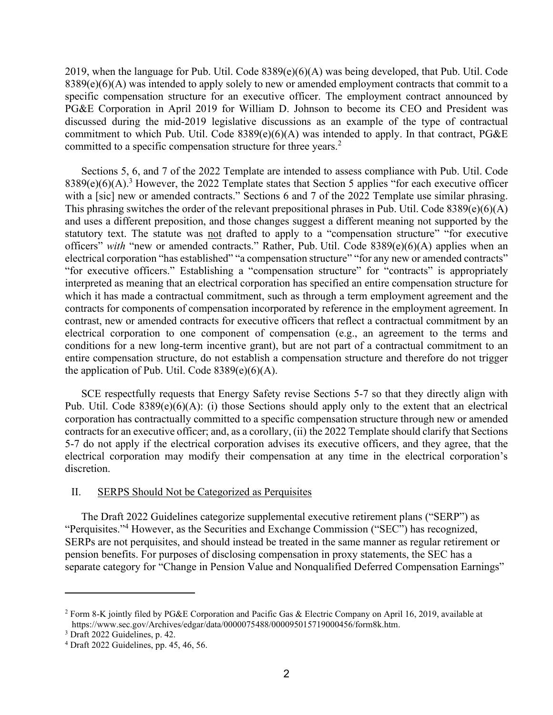2019, when the language for Pub. Util. Code 8389(e)(6)(A) was being developed, that Pub. Util. Code  $8389(e)(6)(A)$  was intended to apply solely to new or amended employment contracts that commit to a specific compensation structure for an executive officer. The employment contract announced by PG&E Corporation in April 2019 for William D. Johnson to become its CEO and President was discussed during the mid-2019 legislative discussions as an example of the type of contractual commitment to which Pub. Util. Code 8389(e)(6)(A) was intended to apply. In that contract, PG&E committed to a specific compensation structure for three years.<sup>2</sup>

Sections 5, 6, and 7 of the 2022 Template are intended to assess compliance with Pub. Util. Code  $8389(e)(6)(A).$ <sup>3</sup> However, the 2022 Template states that Section 5 applies "for each executive officer with a [sic] new or amended contracts." Sections 6 and 7 of the 2022 Template use similar phrasing. This phrasing switches the order of the relevant prepositional phrases in Pub. Util. Code 8389(e)(6)(A) and uses a different preposition, and those changes suggest a different meaning not supported by the statutory text. The statute was not drafted to apply to a "compensation structure" "for executive officers" *with* "new or amended contracts." Rather, Pub. Util. Code 8389(e)(6)(A) applies when an electrical corporation "has established" "a compensation structure" "for any new or amended contracts" "for executive officers." Establishing a "compensation structure" for "contracts" is appropriately interpreted as meaning that an electrical corporation has specified an entire compensation structure for which it has made a contractual commitment, such as through a term employment agreement and the contracts for components of compensation incorporated by reference in the employment agreement. In contrast, new or amended contracts for executive officers that reflect a contractual commitment by an electrical corporation to one component of compensation (e.g., an agreement to the terms and conditions for a new long-term incentive grant), but are not part of a contractual commitment to an entire compensation structure, do not establish a compensation structure and therefore do not trigger the application of Pub. Util. Code  $8389(e)(6)(A)$ .

SCE respectfully requests that Energy Safety revise Sections 5-7 so that they directly align with Pub. Util. Code 8389(e)(6)(A): (i) those Sections should apply only to the extent that an electrical corporation has contractually committed to a specific compensation structure through new or amended contracts for an executive officer; and, as a corollary, (ii) the 2022 Template should clarify that Sections 5-7 do not apply if the electrical corporation advises its executive officers, and they agree, that the electrical corporation may modify their compensation at any time in the electrical corporation's discretion.

### II. SERPS Should Not be Categorized as Perquisites

The Draft 2022 Guidelines categorize supplemental executive retirement plans ("SERP") as "Perquisites."<sup>4</sup> However, as the Securities and Exchange Commission ("SEC") has recognized, SERPs are not perquisites, and should instead be treated in the same manner as regular retirement or pension benefits. For purposes of disclosing compensation in proxy statements, the SEC has a separate category for "Change in Pension Value and Nonqualified Deferred Compensation Earnings"

<sup>2</sup> Form 8-K jointly filed by PG&E Corporation and Pacific Gas & Electric Company on April 16, 2019, available at https://www.sec.gov/Archives/edgar/data/0000075488/000095015719000456/form8k.htm.

<sup>3</sup> Draft 2022 Guidelines, p. 42.

<sup>4</sup> Draft 2022 Guidelines, pp. 45, 46, 56.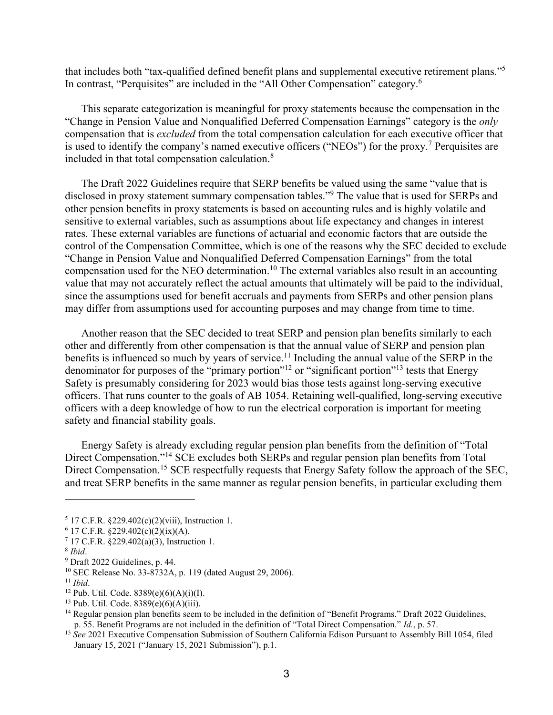that includes both "tax-qualified defined benefit plans and supplemental executive retirement plans."<sup>5</sup> In contrast, "Perquisites" are included in the "All Other Compensation" category.<sup>6</sup>

This separate categorization is meaningful for proxy statements because the compensation in the "Change in Pension Value and Nonqualified Deferred Compensation Earnings" category is the *only* compensation that is *excluded* from the total compensation calculation for each executive officer that is used to identify the company's named executive officers ("NEOs") for the proxy.<sup>7</sup> Perquisites are included in that total compensation calculation. 8

The Draft 2022 Guidelines require that SERP benefits be valued using the same "value that is disclosed in proxy statement summary compensation tables."<sup>9</sup> The value that is used for SERPs and other pension benefits in proxy statements is based on accounting rules and is highly volatile and sensitive to external variables, such as assumptions about life expectancy and changes in interest rates. These external variables are functions of actuarial and economic factors that are outside the control of the Compensation Committee, which is one of the reasons why the SEC decided to exclude "Change in Pension Value and Nonqualified Deferred Compensation Earnings" from the total compensation used for the NEO determination.<sup>10</sup> The external variables also result in an accounting value that may not accurately reflect the actual amounts that ultimately will be paid to the individual, since the assumptions used for benefit accruals and payments from SERPs and other pension plans may differ from assumptions used for accounting purposes and may change from time to time.

Another reason that the SEC decided to treat SERP and pension plan benefits similarly to each other and differently from other compensation is that the annual value of SERP and pension plan benefits is influenced so much by years of service.<sup>11</sup> Including the annual value of the SERP in the denominator for purposes of the "primary portion"<sup>12</sup> or "significant portion"<sup>13</sup> tests that Energy Safety is presumably considering for 2023 would bias those tests against long-serving executive officers. That runs counter to the goals of AB 1054. Retaining well-qualified, long-serving executive officers with a deep knowledge of how to run the electrical corporation is important for meeting safety and financial stability goals.

Energy Safety is already excluding regular pension plan benefits from the definition of "Total Direct Compensation."<sup>14</sup> SCE excludes both SERPs and regular pension plan benefits from Total Direct Compensation.<sup>15</sup> SCE respectfully requests that Energy Safety follow the approach of the SEC, and treat SERP benefits in the same manner as regular pension benefits, in particular excluding them

 $13$  Pub. Util. Code.  $8389(e)(6)(A)(iii)$ .

 $5$  17 C.F.R.  $\S 229.402(c)(2)(viii)$ , Instruction 1.

 $6$  17 C.F.R.  $\S$ 229.402(c)(2)(ix)(A).

<sup>&</sup>lt;sup>7</sup> 17 C.F.R. §229.402(a)(3), Instruction 1.

<sup>8</sup> *Ibid*.

<sup>9</sup> Draft 2022 Guidelines, p. 44.

<sup>10</sup> SEC Release No. 33-8732A, p. 119 (dated August 29, 2006).

<sup>11</sup> *Ibid*.

<sup>&</sup>lt;sup>12</sup> Pub. Util. Code.  $8389(e)(6)(A)(i)(I)$ .

<sup>&</sup>lt;sup>14</sup> Regular pension plan benefits seem to be included in the definition of "Benefit Programs." Draft 2022 Guidelines, p. 55. Benefit Programs are not included in the definition of "Total Direct Compensation." *Id.*, p. 57.

<sup>&</sup>lt;sup>15</sup> See 2021 Executive Compensation Submission of Southern California Edison Pursuant to Assembly Bill 1054, filed January 15, 2021 ("January 15, 2021 Submission"), p.1.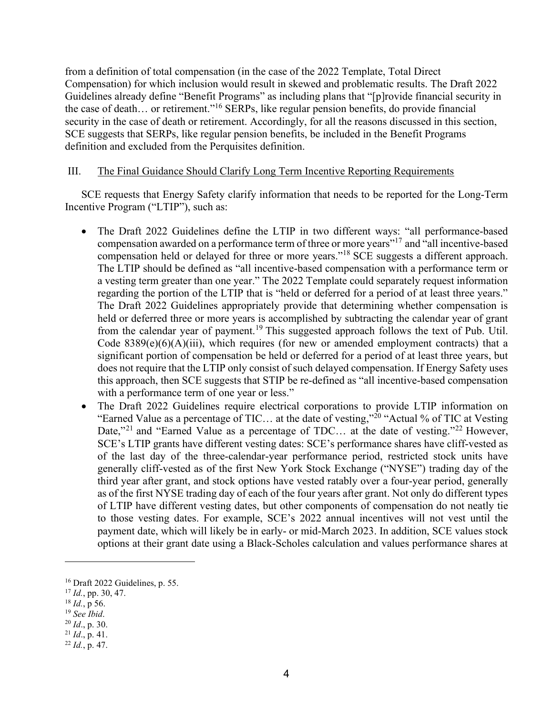from a definition of total compensation (in the case of the 2022 Template, Total Direct Compensation) for which inclusion would result in skewed and problematic results. The Draft 2022 Guidelines already define "Benefit Programs" as including plans that "[p]rovide financial security in the case of death... or retirement."<sup>16</sup> SERPs, like regular pension benefits, do provide financial security in the case of death or retirement. Accordingly, for all the reasons discussed in this section, SCE suggests that SERPs, like regular pension benefits, be included in the Benefit Programs definition and excluded from the Perquisites definition.

#### III. The Final Guidance Should Clarify Long Term Incentive Reporting Requirements

SCE requests that Energy Safety clarify information that needs to be reported for the Long-Term Incentive Program ("LTIP"), such as:

- The Draft 2022 Guidelines define the LTIP in two different ways: "all performance-based compensation awarded on a performance term of three or more years"<sup>17</sup> and "all incentive-based compensation held or delayed for three or more years."<sup>18</sup> SCE suggests a different approach. The LTIP should be defined as "all incentive-based compensation with a performance term or a vesting term greater than one year." The 2022 Template could separately request information regarding the portion of the LTIP that is "held or deferred for a period of at least three years." The Draft 2022 Guidelines appropriately provide that determining whether compensation is held or deferred three or more years is accomplished by subtracting the calendar year of grant from the calendar year of payment.<sup>19</sup> This suggested approach follows the text of Pub. Util. Code 8389(e)(6)(A)(iii), which requires (for new or amended employment contracts) that a significant portion of compensation be held or deferred for a period of at least three years, but does not require that the LTIP only consist of such delayed compensation. If Energy Safety uses this approach, then SCE suggests that STIP be re-defined as "all incentive-based compensation with a performance term of one year or less."
- The Draft 2022 Guidelines require electrical corporations to provide LTIP information on "Earned Value as a percentage of TIC... at the date of vesting,"<sup>20</sup> "Actual % of TIC at Vesting Date,"<sup>21</sup> and "Earned Value as a percentage of TDC... at the date of vesting."<sup>22</sup> However, SCE's LTIP grants have different vesting dates: SCE's performance shares have cliff-vested as of the last day of the three-calendar-year performance period, restricted stock units have generally cliff-vested as of the first New York Stock Exchange ("NYSE") trading day of the third year after grant, and stock options have vested ratably over a four-year period, generally as of the first NYSE trading day of each of the four years after grant. Not only do different types of LTIP have different vesting dates, but other components of compensation do not neatly tie to those vesting dates. For example, SCE's 2022 annual incentives will not vest until the payment date, which will likely be in early- or mid-March 2023. In addition, SCE values stock options at their grant date using a Black-Scholes calculation and values performance shares at

 $16$  Draft 2022 Guidelines, p. 55.

<sup>17</sup> *Id.*, pp. 30, 47.

<sup>18</sup> *Id.*, p 56.

<sup>19</sup> *See Ibid*.

<sup>20</sup> *Id*., p. 30.

<sup>21</sup> *Id*., p. 41.

<sup>22</sup> *Id.*, p. 47.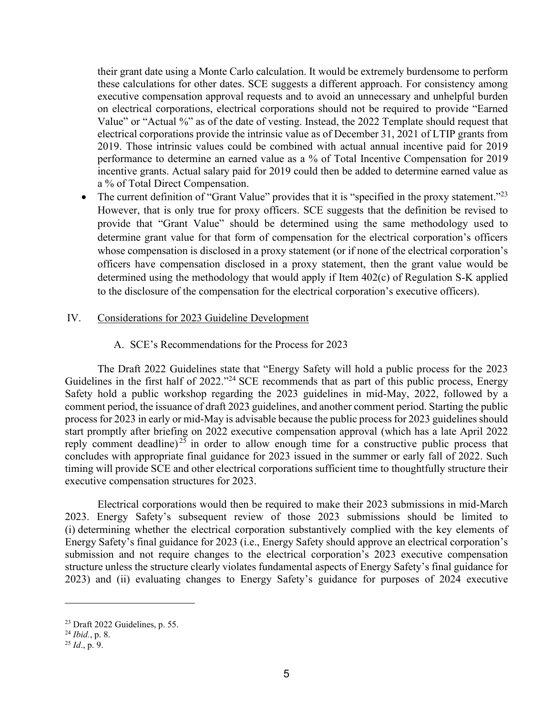their grant date using a Monte Carlo calculation. It would be extremely burdensome to perform these calculations for other dates. SCE suggests a different approach. For consistency among executive compensation approval requests and to avoid an unnecessary and unhelpful burden on electrical corporations, electrical corporations should not be required to provide "Earned Value" or "Actual %" as of the date of vesting. Instead, the 2022 Template should request that electrical corporations provide the intrinsic value as of December 31, 2021 of LTIP grants from 2019. Those intrinsic values could be combined with actual annual incentive paid for 2019 performance to determine an earned value as a % of Total Incentive Compensation for 2019 incentive grants. Actual salary paid for 2019 could then be added to determine earned value as a % of Total Direct Compensation.

• The current definition of "Grant Value" provides that it is "specified in the proxy statement."<sup>23</sup> However, that is only true for proxy officers. SCE suggests that the definition be revised to provide that "Grant Value" should be determined using the same methodology used to determine grant value for that form of compensation for the electrical corporation's officers whose compensation is disclosed in a proxy statement (or if none of the electrical corporation's officers have compensation disclosed in a proxy statement, then the grant value would be determined using the methodology that would apply if Item 402(c) of Regulation S-K applied to the disclosure of the compensation for the electrical corporation's executive officers).

## IV. Considerations for 2023 Guideline Development

## A. SCE's Recommendations for the Process for 2023

The Draft 2022 Guidelines state that "Energy Safety will hold a public process for the 2023 Guidelines in the first half of 2022."<sup>24</sup> SCE recommends that as part of this public process, Energy Safety hold a public workshop regarding the 2023 guidelines in mid-May, 2022, followed by a comment period, the issuance of draft 2023 guidelines, and another comment period. Starting the public process for 2023 in early or mid-May is advisable because the public process for 2023 guidelines should start promptly after briefing on 2022 executive compensation approval (which has a late April 2022 reply comment deadline)<sup> $25$ </sup> in order to allow enough time for a constructive public process that concludes with appropriate final guidance for 2023 issued in the summer or early fall of 2022. Such timing will provide SCE and other electrical corporations sufficient time to thoughtfully structure their executive compensation structures for 2023.

Electrical corporations would then be required to make their 2023 submissions in mid-March 2023. Energy Safety's subsequent review of those 2023 submissions should be limited to (i) determining whether the electrical corporation substantively complied with the key elements of Energy Safety's final guidance for 2023 (i.e., Energy Safety should approve an electrical corporation's submission and not require changes to the electrical corporation's 2023 executive compensation structure unless the structure clearly violates fundamental aspects of Energy Safety's final guidance for 2023) and (ii) evaluating changes to Energy Safety's guidance for purposes of 2024 executive

<sup>23</sup> Draft 2022 Guidelines, p. 55.

<sup>24</sup> *Ibid.*, p. 8.

<sup>25</sup> *Id*., p. 9.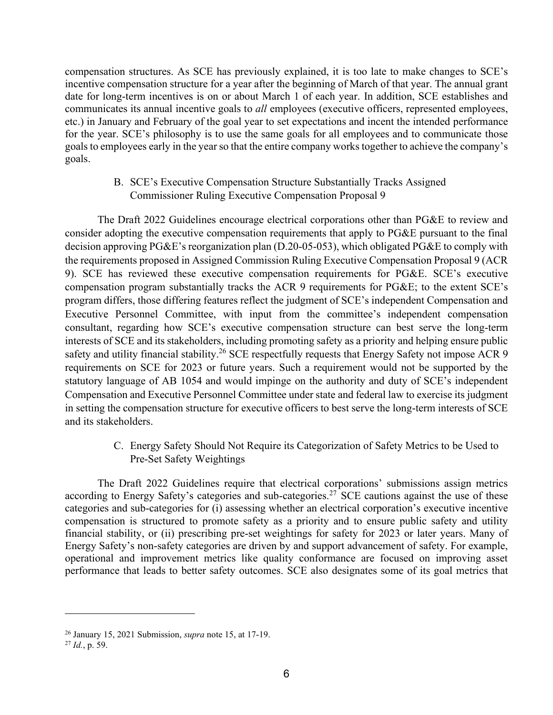compensation structures. As SCE has previously explained, it is too late to make changes to SCE's incentive compensation structure for a year after the beginning of March of that year. The annual grant date for long-term incentives is on or about March 1 of each year. In addition, SCE establishes and communicates its annual incentive goals to *all* employees (executive officers, represented employees, etc.) in January and February of the goal year to set expectations and incent the intended performance for the year. SCE's philosophy is to use the same goals for all employees and to communicate those goals to employees early in the year so that the entire company works together to achieve the company's goals.

# B. SCE's Executive Compensation Structure Substantially Tracks Assigned Commissioner Ruling Executive Compensation Proposal 9

The Draft 2022 Guidelines encourage electrical corporations other than PG&E to review and consider adopting the executive compensation requirements that apply to PG&E pursuant to the final decision approving PG&E's reorganization plan (D.20-05-053), which obligated PG&E to comply with the requirements proposed in Assigned Commission Ruling Executive Compensation Proposal 9 (ACR 9). SCE has reviewed these executive compensation requirements for PG&E. SCE's executive compensation program substantially tracks the ACR 9 requirements for PG&E; to the extent SCE's program differs, those differing features reflect the judgment of SCE's independent Compensation and Executive Personnel Committee, with input from the committee's independent compensation consultant, regarding how SCE's executive compensation structure can best serve the long-term interests of SCE and its stakeholders, including promoting safety as a priority and helping ensure public safety and utility financial stability.<sup>26</sup> SCE respectfully requests that Energy Safety not impose ACR 9 requirements on SCE for 2023 or future years. Such a requirement would not be supported by the statutory language of AB 1054 and would impinge on the authority and duty of SCE's independent Compensation and Executive Personnel Committee under state and federal law to exercise its judgment in setting the compensation structure for executive officers to best serve the long-term interests of SCE and its stakeholders.

# C. Energy Safety Should Not Require its Categorization of Safety Metrics to be Used to Pre-Set Safety Weightings

The Draft 2022 Guidelines require that electrical corporations' submissions assign metrics according to Energy Safety's categories and sub-categories.<sup>27</sup> SCE cautions against the use of these categories and sub-categories for (i) assessing whether an electrical corporation's executive incentive compensation is structured to promote safety as a priority and to ensure public safety and utility financial stability, or (ii) prescribing pre-set weightings for safety for 2023 or later years. Many of Energy Safety's non-safety categories are driven by and support advancement of safety. For example, operational and improvement metrics like quality conformance are focused on improving asset performance that leads to better safety outcomes. SCE also designates some of its goal metrics that

<sup>26</sup> January 15, 2021 Submission, *supra* note 15, at 17-19.

<sup>27</sup> *Id.*, p. 59.